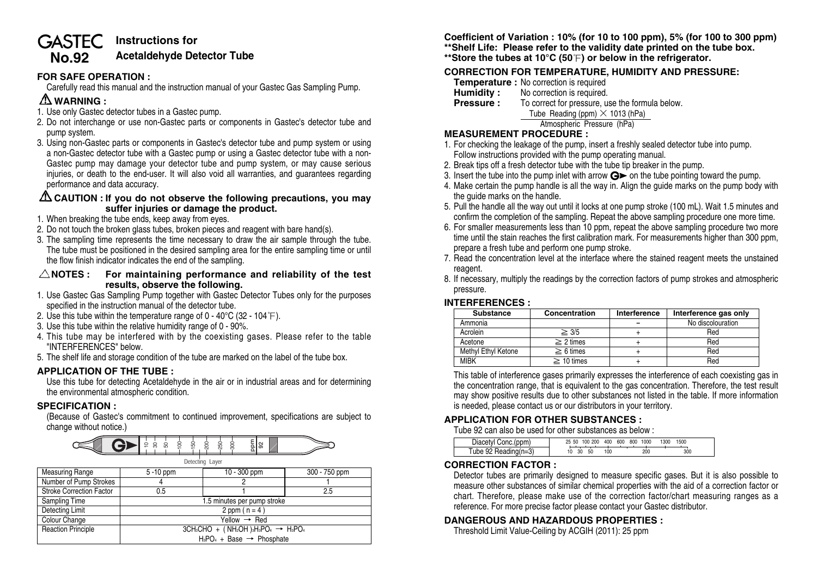#### **Instructions for GASTEC Acetaldehyde Detector Tube No.92**

### **FOR SAFE OPERATION :**

Carefully read this manual and the instruction manual of your Gastec Gas Sampling Pump.

# **WARNING :**

- 1. Use only Gastec detector tubes in a Gastec pump.
- 2. Do not interchange or use non-Gastec parts or components in Gastec's detector tube and pump system.
- 3. Using non-Gastec parts or components in Gastec's detector tube and pump system or using a non-Gastec detector tube with a Gastec pump or using a Gastec detector tube with a non-Gastec pump may damage your detector tube and pump system, or may cause serious injuries, or death to the end-user. It will also void all warranties, and guarantees regarding performance and data accuracy.

#### **CAUTION : If you do not observe the following precautions, you may suffer injuries or damage the product.**

- 1. When breaking the tube ends, keep away from eyes.
- 2. Do not touch the broken glass tubes, broken pieces and reagent with bare hand(s).
- 3. The sampling time represents the time necessary to draw the air sample through the tube. The tube must be positioned in the desired sampling area for the entire sampling time or until the flow finish indicator indicates the end of the sampling.
- **NOTES : For maintaining performance and reliability of the test results, observe the following.**
- 1. Use Gastec Gas Sampling Pump together with Gastec Detector Tubes only for the purposes specified in the instruction manual of the detector tube.
- 2. Use this tube within the temperature range of  $0 40^{\circ}C$  (32 104 $\degree$ F).
- 3. Use this tube within the relative humidity range of 0 90%.
- 4. This tube may be interfered with by the coexisting gases. Please refer to the table "INTERFERENCES" below.
- 5. The shelf life and storage condition of the tube are marked on the label of the tube box.

### **APPLICATION OF THE TUBE :**

Use this tube for detecting Acetaldehyde in the air or in industrial areas and for determining the environmental atmospheric condition.

### **SPECIFICATION :**

(Because of Gastec's commitment to continued improvement, specifications are subject to change without notice.)



| <b>THOROGHING</b> HAIRS         | $U \cup V$                                        | <b>IV VVV PPIII</b> | 0001100 |  |  |  |
|---------------------------------|---------------------------------------------------|---------------------|---------|--|--|--|
| Number of Pump Strokes          |                                                   |                     |         |  |  |  |
| <b>Stroke Correction Factor</b> | 0.5                                               |                     | 2.5     |  |  |  |
| Sampling Time                   | 1.5 minutes per pump stroke                       |                     |         |  |  |  |
| Detecting Limit                 | 2 ppm ( $n = 4$ )                                 |                     |         |  |  |  |
| Colour Change                   | Yellow $\rightarrow$ Red                          |                     |         |  |  |  |
| <b>Reaction Principle</b>       | $3CH_3CHO + (NH_2OH)_{3}HO_4 \rightarrow H_3PO_4$ |                     |         |  |  |  |
|                                 | $H_3PO_4 + Base \rightarrow Phosphate$            |                     |         |  |  |  |

**Coefficient of Variation : 10% (for 10 to 100 ppm), 5% (for 100 to 300 ppm) \*\*Shelf Life: Please refer to the validity date printed on the tube box.**

\*\*Store the tubes at 10°C (50°F) or below in the refrigerator.

# **CORRECTION FOR TEMPERATURE, HUMIDITY AND PRESSURE:**

- **Temperature :** No correction is required<br>**Humidity :** No correction is required.
- No correction is required.

**Pressure :** To correct for pressure, use the formula below. Tube Reading (ppm)  $\times$  1013 (hPa)

Atmospheric Pressure (hPa)

## **MEASUREMENT PROCEDURE :**

- 1. For checking the leakage of the pump, insert a freshly sealed detector tube into pump. Follow instructions provided with the pump operating manual.
- 2. Break tips off a fresh detector tube with the tube tip breaker in the pump.
- 3. Insert the tube into the pump inlet with arrow  $\mathbf{G}$  on the tube pointing toward the pump.
- 4. Make certain the pump handle is all the way in. Align the guide marks on the pump body with the guide marks on the handle.
- 5. Pull the handle all the way out until it locks at one pump stroke (100 mL). Wait 1.5 minutes and confirm the completion of the sampling. Repeat the above sampling procedure one more time.
- 6. For smaller measurements less than 10 ppm, repeat the above sampling procedure two more time until the stain reaches the first calibration mark. For measurements higher than 300 ppm, prepare a fresh tube and perform one pump stroke.
- 7. Read the concentration level at the interface where the stained reagent meets the unstained reagent.
- 8. If necessary, multiply the readings by the correction factors of pump strokes and atmospheric pressure.

### **INTERFERENCES :**

| <b>Substance</b>    | Concentration   | Interference | Interference gas only |  |  |  |
|---------------------|-----------------|--------------|-----------------------|--|--|--|
| Ammonia             |                 |              | No discolouration     |  |  |  |
| Acrolein            | $\geq 3/5$      |              | Red                   |  |  |  |
| Acetone             | $\geq$ 2 times  |              | Red                   |  |  |  |
| Methyl Ethyl Ketone | $\geq 6$ times  |              | Red                   |  |  |  |
| <b>MIRK</b>         | $\geq$ 10 times |              | Red                   |  |  |  |

This table of interference gases primarily expresses the interference of each coexisting gas in the concentration range, that is equivalent to the gas concentration. Therefore, the test result may show positive results due to other substances not listed in the table. If more information is needed, please contact us or our distributors in your territory.

### **APPLICATION FOR OTHER SUBSTANCES :**

Tube 92 can also be used for other substances as below :

| Diacetyl Conc.(ppm)  | 25 50 100 200 | 400 | 600 | 800 1000 | 1300 | 1500 |  |
|----------------------|---------------|-----|-----|----------|------|------|--|
| Tube 92 Reading(n=3) | 50<br>30      | 100 |     | 200      |      | 300  |  |

### **CORRECTION FACTOR :**

Detector tubes are primarily designed to measure specific gases. But it is also possible to measure other substances of similar chemical properties with the aid of a correction factor or chart. Therefore, please make use of the correction factor/chart measuring ranges as a reference. For more precise factor please contact your Gastec distributor.

## **DANGEROUS AND HAZARDOUS PROPERTIES :**

Threshold Limit Value-Ceiling by ACGIH (2011): 25 ppm